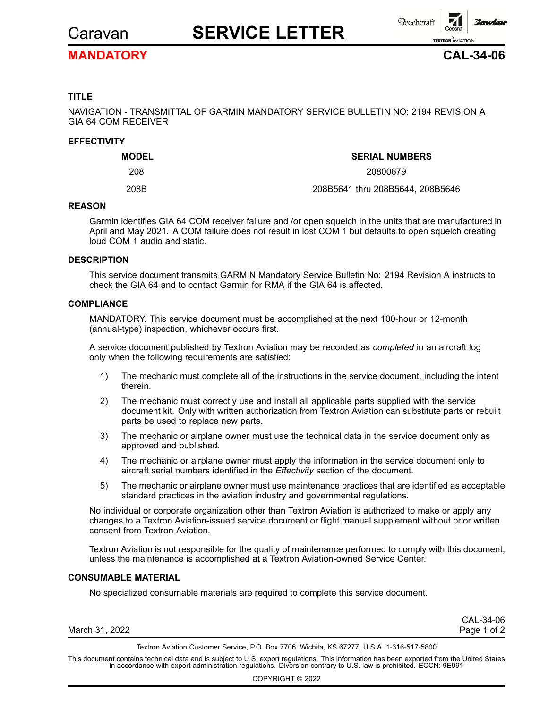

# Caravan **SERVICE LETTER**



### **MANDATORY CAL-34-06**

#### **TITLE**

NAVIGATION - TRANSMITTAL OF GARMIN MANDATORY SERVICE BULLETIN NO: 2194 REVISION A GIA 64 COM RECEIVER

#### **EFFECTIVITY**

| <b>MODEL</b> | <b>SERIAL NUMBERS</b>            |  |  |
|--------------|----------------------------------|--|--|
| 208          | 20800679                         |  |  |
| 208B         | 208B5641 thru 208B5644, 208B5646 |  |  |

#### **REASON**

Garmin identifies GIA 64 COM receiver failure and /or open squelch in the units that are manufactured in April and May 2021. A COM failure does not result in lost COM 1 but defaults to open squelch creating loud COM 1 audio and static.

#### **DESCRIPTION**

This service document transmits GARMIN Mandatory Service Bulletin No: 2194 Revision A instructs to check the GIA 64 and to contact Garmin for RMA if the GIA 64 is affected.

#### **COMPLIANCE**

MANDATORY. This service document must be accomplished at the next 100-hour or 12-month (annual-type) inspection, whichever occurs first.

A service document published by Textron Aviation may be recorded as *completed* in an aircraft log only when the following requirements are satisfied:

- 1) The mechanic must complete all of the instructions in the service document, including the intent therein.
- 2) The mechanic must correctly use and install all applicable parts supplied with the service document kit. Only with written authorization from Textron Aviation can substitute parts or rebuilt parts be used to replace new parts.
- 3) The mechanic or airplane owner must use the technical data in the service document only as approved and published.
- 4) The mechanic or airplane owner must apply the information in the service document only to aircraft serial numbers identified in the *Effectivity* section of the document.
- 5) The mechanic or airplane owner must use maintenance practices that are identified as acceptable standard practices in the aviation industry and governmental regulations.

No individual or corporate organization other than Textron Aviation is authorized to make or apply any changes to <sup>a</sup> Textron Aviation-issued service document or flight manual supplement without prior written consent from Textron Aviation.

Textron Aviation is not responsible for the quality of maintenance performed to comply with this document, unless the maintenance is accomplished at <sup>a</sup> Textron Aviation-owned Service Center.

#### **CONSUMABLE MATERIAL**

No specialized consumable materials are required to complete this service document.

|                | CAL-34-06   |
|----------------|-------------|
| March 31, 2022 | Page 1 of 2 |

Textron Aviation Customer Service, P.O. Box 7706, Wichita, KS 67277, U.S.A. 1-316-517-5800

This document contains technical data and is subject to U.S. export regulations. This information has been exported from the United States<br>in accordance with export administration regulations. Diversion contrary to U.S. la

COPYRIGHT © 2022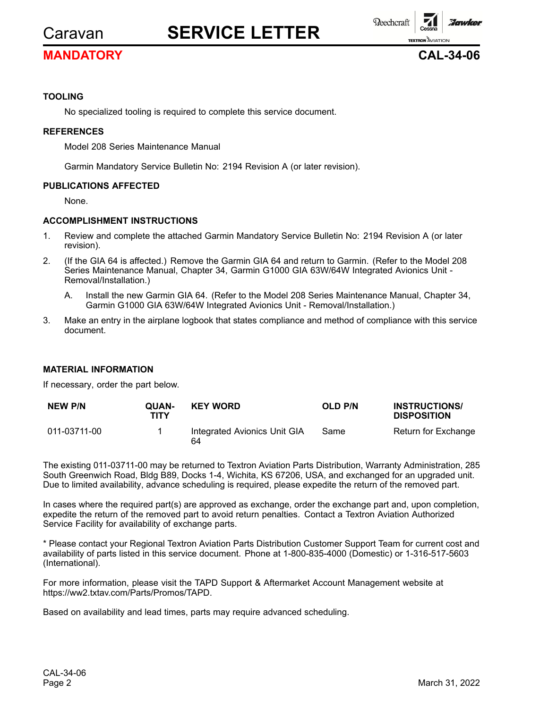# Caravan **SERVICE LETTER**

### **MANDATORY CAL-34-06**

**Reechcraft** 

**TEXTRON** AVIATION

*Howker* 

#### **TOOLING**

No specialized tooling is required to complete this service document.

#### **REFERENCES**

Model 208 Series Maintenance Manual

Garmin Mandatory Service Bulletin No: 2194 Revision A (or later revision).

#### **PUBLICATIONS AFFECTED**

None.

#### **ACCOMPLISHMENT INSTRUCTIONS**

- 1. Review and complete the attached Garmin Mandatory Service Bulletin No: 2194 Revision A (or later revision).
- 2. (If the GIA 64 is affected.) Remove the Garmin GIA 64 and return to Garmin. (Refer to the Model 208 Series Maintenance Manual, Chapter 34, Garmin G1000 GIA 63W/64W Integrated Avionics Unit -Removal/Installation.)
	- A. Install the new Garmin GIA 64. (Refer to the Model 208 Series Maintenance Manual, Chapter 34, Garmin G1000 GIA 63W/64W Integrated Avionics Unit - Removal/Installation.)
- 3. Make an entry in the airplane logbook that states compliance and method of compliance with this service document.

#### **MATERIAL INFORMATION**

If necessary, order the part below.

| <b>NEW P/N</b> | <b>OUAN-</b><br>TITY | <b>KEY WORD</b>                    | OLD P/N | <b>INSTRUCTIONS/</b><br><b>DISPOSITION</b> |
|----------------|----------------------|------------------------------------|---------|--------------------------------------------|
| 011-03711-00   |                      | Integrated Avionics Unit GIA<br>64 | Same    | Return for Exchange                        |

The existing 011-03711-00 may be returned to Textron Aviation Parts Distribution, Warranty Administration, 285 South Greenwich Road, Bldg B89, Docks 1-4, Wichita, KS 67206, USA, and exchanged for an upgraded unit. Due to limited availability, advance scheduling is required, please expedite the return of the removed part.

In cases where the required part(s) are approved as exchange, order the exchange part and, upon completion, expedite the return of the removed part to avoid return penalties. Contact <sup>a</sup> Textron Aviation Authorized Service Facility for availability of exchange parts.

\* Please contact your Regional Textron Aviation Parts Distribution Customer Support Team for current cost and availability of parts listed in this service document. Phone at 1-800-835-4000 (Domestic) or 1-316-517-5603 (International).

For more information, please visit the TAPD Support & Aftermarket Account Management website at https://ww2.txtav.com/Parts/Promos/TAPD.

Based on availability and lead times, parts may require advanced scheduling.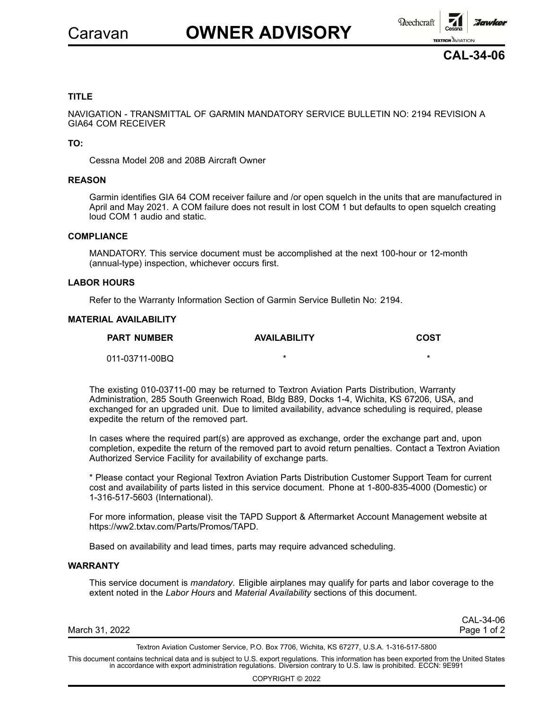



#### **TITLE**

NAVIGATION - TRANSMITTAL OF GARMIN MANDATORY SERVICE BULLETIN NO: 2194 REVISION A GIA64 COM RECEIVER

**TO:**

Cessna Model 208 and 208B Aircraft Owner

#### **REASON**

Garmin identifies GIA 64 COM receiver failure and /or open squelch in the units that are manufactured in April and May 2021. A COM failure does not result in lost COM 1 but defaults to open squelch creating loud COM 1 audio and static.

#### **COMPLIANCE**

MANDATORY. This service document must be accomplished at the next 100-hour or 12-month (annual-type) inspection, whichever occurs first.

#### **LABOR HOURS**

Refer to the Warranty Information Section of Garmin Service Bulletin No: 2194.

#### **MATERIAL AVAILABILITY**

| <b>PART NUMBER</b> | <b>AVAILABILITY</b> | COST |
|--------------------|---------------------|------|
| 011-03711-00BQ     |                     |      |

The existing 010-03711-00 may be returned to Textron Aviation Parts Distribution, Warranty Administration, 285 South Greenwich Road, Bldg B89, Docks 1-4, Wichita, KS 67206, USA, and exchanged for an upgraded unit. Due to limited availability, advance scheduling is required, please expedite the return of the removed part.

In cases where the required part(s) are approved as exchange, order the exchange part and, upon completion, expedite the return of the removed part to avoid return penalties. Contact <sup>a</sup> Textron Aviation Authorized Service Facility for availability of exchange parts.

\* Please contact your Regional Textron Aviation Parts Distribution Customer Support Team for current cost and availability of parts listed in this service document. Phone at 1-800-835-4000 (Domestic) or 1-316-517-5603 (International).

For more information, please visit the TAPD Support & Aftermarket Account Management website at https://ww2.txtav.com/Parts/Promos/TAPD.

Based on availability and lead times, parts may require advanced scheduling.

#### **WARRANTY**

This service document is *mandatory*. Eligible airplanes may qualify for parts and labor coverage to the extent noted in the *Labor Hours* and *Material Availability* sections of this document.

March 31, 2022 **Page 1 of 2** 

CAL-34-06

Textron Aviation Customer Service, P.O. Box 7706, Wichita, KS 67277, U.S.A. 1-316-517-5800

This document contains technical data and is subject to U.S. export regulations. This information has been exported from the United States<br>in accordance with export administration regulations. Diversion contrary to U.S. la

COPYRIGHT © 2022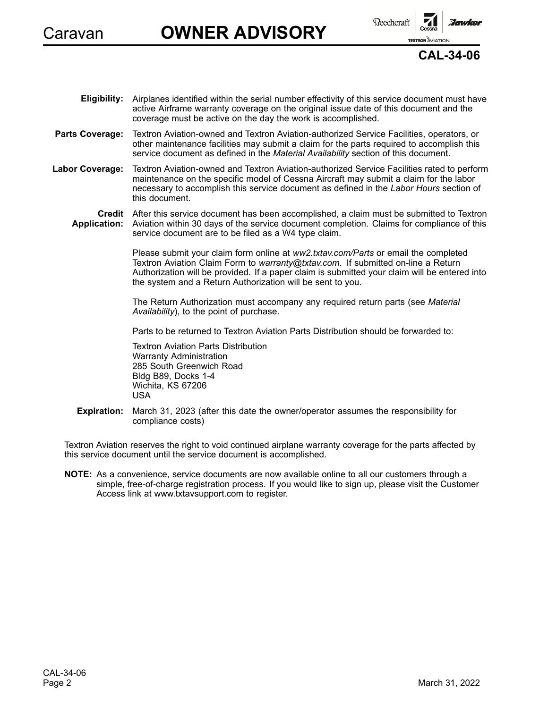

# Caravan **OWNER ADVISORY**

**Reechcraft** 

**TEXTRON** AVIATION



- **Eligibility:** Airplanes identified within the serial number effectivity of this service document must have active Airframe warranty coverage on the original issue date of this document and the coverage must be active on the day the work is accomplished.
- **Parts Coverage:** Textron Aviation-owned and Textron Aviation-authorized Service Facilities, operators, or other maintenance facilities may submit <sup>a</sup> claim for the parts required to accomplish this service document as defined in the *Material Availability* section of this document.
- **Labor Coverage:** Textron Aviation-owned and Textron Aviation-authorized Service Facilities rated to perform maintenance on the specific model of Cessna Aircraft may submit <sup>a</sup> claim for the labor necessary to accomplish this service document as defined in the *Labor Hours* section of this document.
	- **Credit** After this service document has been accomplished, <sup>a</sup> claim must be submitted to Textron **Application:** Aviation within 30 days of the service document completion. Claims for compliance of this service document are to be filed as <sup>a</sup> W4 type claim.

Please submit your claim form online at *ww2.txtav.com/Parts* or email the completed Textron Aviation Claim Form to *warranty@txtav.com*. If submitted on-line <sup>a</sup> Return Authorization will be provided. If <sup>a</sup> paper claim is submitted your claim will be entered into the system and <sup>a</sup> Return Authorization will be sent to you.

The Return Authorization must accompany any required return parts (see *Material Availability*), to the point of purchase.

Parts to be returned to Textron Aviation Parts Distribution should be forwarded to:

Textron Aviation Parts Distribution Warranty Administration 285 South Greenwich Road Bldg B89, Docks 1-4 Wichita, KS 67206 USA

**Expiration:** March 31, 2023 (after this date the owner/operator assumes the responsibility for compliance costs)

Textron Aviation reserves the right to void continued airplane warranty coverage for the parts affected by this service document until the service document is accomplished.

**NOTE:** As <sup>a</sup> convenience, service documents are now available online to all our customers through <sup>a</sup> simple, free-of-charge registration process. If you would like to sign up, please visit the Customer Access link at www.txtavsupport.com to register.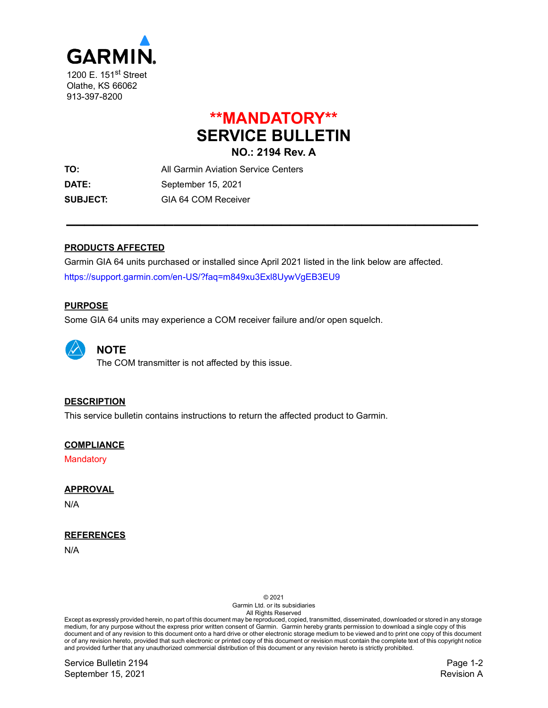

## **\*\*MANDATORY\*\* SERVICE BULLETIN NO.: 2194 Rev. A**

**\_\_\_\_\_\_\_\_\_\_\_\_\_\_\_\_\_\_\_\_\_\_\_\_\_\_\_\_\_\_\_\_\_\_\_\_\_\_\_\_\_\_\_\_\_\_**

**TO:** All Garmin Aviation Service Centers **DATE:** September 15, 2021 **SUBJECT:** GIA 64 COM Receiver

#### **PRODUCTS AFFECTED**

Garmin GIA 64 units purchased or installed since April 2021 listed in the link below are affected. <https://support.garmin.com/en-US/?faq=m849xu3Exl8UywVgEB3EU9>

#### **PURPOSE**

Some GIA 64 units may experience a COM receiver failure and/or open squelch.



**NOTE**

The COM transmitter is not affected by this issue.

#### **DESCRIPTION**

This service bulletin contains instructions to return the affected product to Garmin.

#### **COMPLIANCE**

**Mandatory** 

#### **APPROVAL**

N/A

#### **REFERENCES**

N/A

© 2021

Garmin Ltd. or its subsidiaries All Rights Reserved

Except as expressly provided herein, no part of this document may be reproduced, copied, transmitted, disseminated, downloaded or stored in any storage medium, for any purpose without the express prior written consent of Garmin. Garmin hereby grants permission to download a single copy of this document and of any revision to this document onto a hard drive or other electronic storage medium to be viewed and to print one copy of this document or of any revision hereto, provided that such electronic or printed copy of this document or revision must contain the complete text of this copyright notice and provided further that any unauthorized commercial distribution of this document or any revision hereto is strictly prohibited.